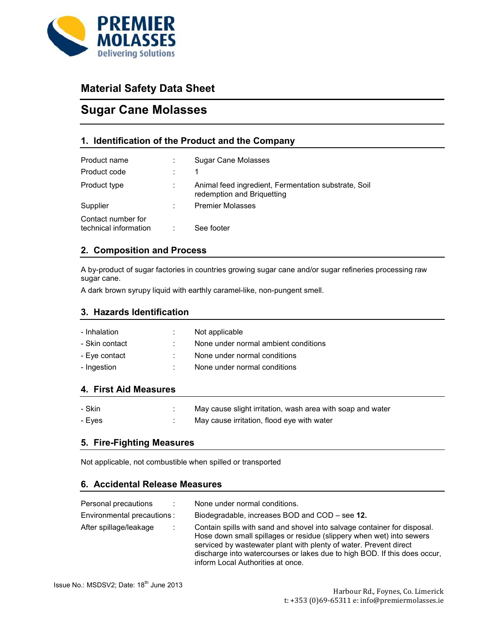

## **Material Safety Data Sheet**

# **Sugar Cane Molasses**

## **1. Identification of the Product and the Company**

| Product name<br>Product code                | Sugar Cane Molasses                                                                |
|---------------------------------------------|------------------------------------------------------------------------------------|
| Product type                                | Animal feed ingredient, Fermentation substrate, Soil<br>redemption and Briguetting |
| Supplier                                    | <b>Premier Molasses</b>                                                            |
| Contact number for<br>technical information | See footer                                                                         |

## **2. Composition and Process**

A by-product of sugar factories in countries growing sugar cane and/or sugar refineries processing raw sugar cane.

A dark brown syrupy liquid with earthly caramel-like, non-pungent smell.

### **3. Hazards Identification**

| - Inhalation<br>- Skin contact | Not applicable<br>None under normal ambient conditions |
|--------------------------------|--------------------------------------------------------|
| - Eve contact                  | None under normal conditions                           |
| - Ingestion                    | None under normal conditions                           |

## **4. First Aid Measures**

| - Skin | May cause slight irritation, wash area with soap and water |
|--------|------------------------------------------------------------|
| - Eves | May cause irritation, flood eye with water                 |

### **5. Fire-Fighting Measures**

Not applicable, not combustible when spilled or transported

## **6. Accidental Release Measures**

| Personal precautions       | ÷ | None under normal conditions.                                                                                                                                                                                                                                                                                                            |
|----------------------------|---|------------------------------------------------------------------------------------------------------------------------------------------------------------------------------------------------------------------------------------------------------------------------------------------------------------------------------------------|
| Environmental precautions: |   | Biodegradable, increases BOD and COD – see 12.                                                                                                                                                                                                                                                                                           |
| After spillage/leakage     |   | Contain spills with sand and shovel into salvage container for disposal.<br>Hose down small spillages or residue (slippery when wet) into sewers<br>serviced by was tewater plant with plenty of water. Prevent direct<br>discharge into watercourses or lakes due to high BOD. If this does occur,<br>inform Local Authorities at once. |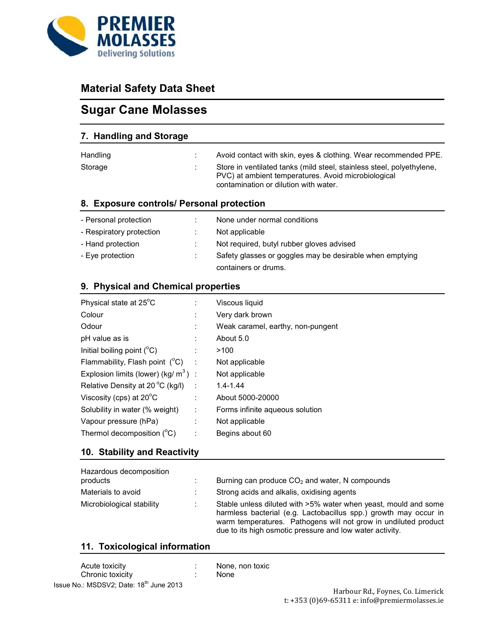

# **Material Safety Data Sheet**

# **Sugar Cane Molasses**

| 7. Handling and Storage                   |                                                                                                                                                                       |
|-------------------------------------------|-----------------------------------------------------------------------------------------------------------------------------------------------------------------------|
| Handling                                  | Avoid contact with skin, eyes & clothing. Wear recommended PPE.                                                                                                       |
| Storage                                   | Store in ventilated tanks (mild steel, stainless steel, polyethylene,<br>PVC) at ambient temperatures. Avoid microbiological<br>contamination or dilution with water. |
| 8. Exposure controls/ Personal protection |                                                                                                                                                                       |
|                                           |                                                                                                                                                                       |

| - Personal protection    | None under normal conditions                             |
|--------------------------|----------------------------------------------------------|
| - Respiratory protection | Not applicable                                           |
| - Hand protection        | Not required, butyl rubber gloves advised                |
| - Eve protection         | Safety glasses or goggles may be desirable when emptying |
|                          | containers or drums.                                     |

## **9. Physical and Chemical properties**

| Physical state at 25°C                             |                             | Viscous liquid                    |
|----------------------------------------------------|-----------------------------|-----------------------------------|
| Colour                                             |                             | Very dark brown                   |
| Odour                                              | ÷                           | Weak caramel, earthy, non-pungent |
| pH value as is                                     |                             | About 5.0                         |
| Initial boiling point $(^{\circ}C)$                |                             | >100                              |
| Flammability, Flash point (°C)                     | $\sim 10$                   | Not applicable                    |
| Explosion limits (lower) (kg/ $m^3$ ) :            |                             | Not applicable                    |
| Relative Density at 20 $\mathrm{^{\circ}C}$ (kg/l) |                             | $1.4 - 1.44$                      |
| Viscosity (cps) at $20^{\circ}$ C                  | ÷                           | About 5000-20000                  |
| Solubility in water (% weight)                     | $\mathcal{L}_{\mathcal{L}}$ | Forms infinite aqueous solution   |
| Vapour pressure (hPa)                              | ÷                           | Not applicable                    |
| Thermol decomposition $(^{\circ}C)$                |                             | Begins about 60                   |

## **10. Stability and Reactivity**

| Hazardous decomposition<br>products | Burning can produce $CO2$ and water. N compounds                                                                                                                                                                                                                   |
|-------------------------------------|--------------------------------------------------------------------------------------------------------------------------------------------------------------------------------------------------------------------------------------------------------------------|
| Materials to avoid                  | Strong acids and alkalis, oxidising agents                                                                                                                                                                                                                         |
| Microbiological stability           | Stable unless diluted with >5% water when yeast, mould and some<br>harmless bacterial (e.g. Lactobacillus spp.) growth may occur in<br>warm temperatures. Pathogens will not grow in undiluted product<br>due to its high osmotic pressure and low water activity. |

## **11. Toxicological information**

| Acute toxicity                                      |  |
|-----------------------------------------------------|--|
| Chronic toxicity                                    |  |
| Issue No.: MSDSV2; Date: 18 <sup>th</sup> June 2013 |  |

: None, non toxic

: None